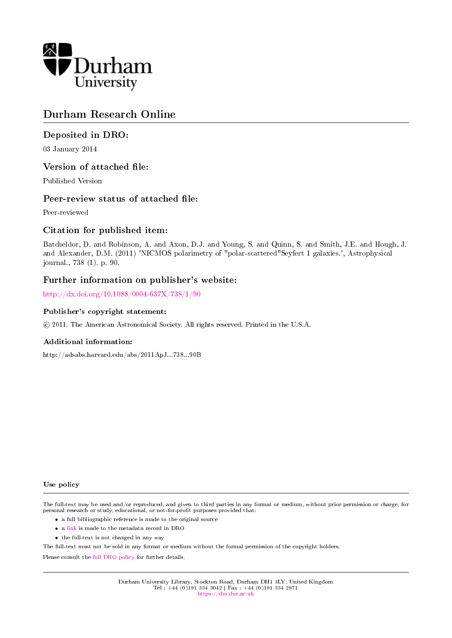

# Durham Research Online

## Deposited in DRO:

03 January 2014

## Version of attached file:

Published Version

## Peer-review status of attached file:

Peer-reviewed

## Citation for published item:

Batcheldor, D. and Robinson, A. and Axon, D.J. and Young, S. and Quinn, S. and Smith, J.E. and Hough, J. and Alexander, D.M. (2011) 'NICMOS polarimetry of "polar-scattered"Seyfert 1 galaxies.', Astrophysical journal., 738 (1). p. 90.

## Further information on publisher's website:

<http://dx.doi.org/10.1088/0004-637X/738/1/90>

## Publisher's copyright statement:

c 2011. The American Astronomical Society. All rights reserved. Printed in the U.S.A.

## Additional information:

http://adsabs.harvard.edu/abs/2011ApJ...738...90B

### Use policy

The full-text may be used and/or reproduced, and given to third parties in any format or medium, without prior permission or charge, for personal research or study, educational, or not-for-profit purposes provided that:

- a full bibliographic reference is made to the original source
- a [link](http://dro.dur.ac.uk/11360/) is made to the metadata record in DRO
- the full-text is not changed in any way

The full-text must not be sold in any format or medium without the formal permission of the copyright holders.

Please consult the [full DRO policy](https://dro.dur.ac.uk/policies/usepolicy.pdf) for further details.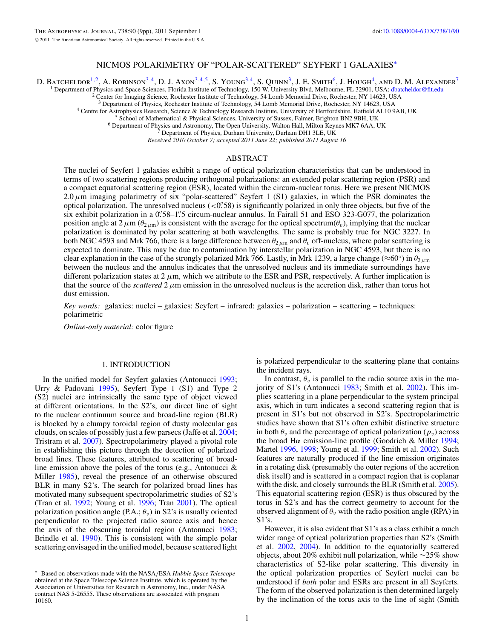### NICMOS POLARIMETRY OF "POLAR-SCATTERED" SEYFERT 1 GALAXIES<sup>∗</sup>

D. BATCHELDOR<sup>1,2</sup>, A. ROBINSON<sup>3,4</sup>, D. J. Axon<sup>3,4,5</sup>, S. YOUNG<sup>3,4</sup>, S. QUINN<sup>3</sup>, J. E. SMITH<sup>6</sup>, J. HOUGH<sup>4</sup>, AND D. M. ALEXANDER<sup>7</sup>

Department of Physics and Space Sciences, Florida Institute of Technology, 150 W. University Blvd, Melbourne, FL 32901, USA; [dbatcheldor@fit.edu](mailto:dbatcheldor@fit.edu)<br><sup>2</sup> Center for Imaging Science, Rochester Institute of Technology, 54 Lomb Me

<sup>4</sup> Centre for Astrophysics Research, Science & Technology Research Institute, University of Hertfordshire, Hatfield AL10 9AB, UK <sup>5</sup> School of Mathematical & Physical Sciences, University of Sussex, Falmer, Brighton BN2

*Received 2010 October 7; accepted 2011 June 22; published 2011 August 16*

#### ABSTRACT

The nuclei of Seyfert 1 galaxies exhibit a range of optical polarization characteristics that can be understood in terms of two scattering regions producing orthogonal polarizations: an extended polar scattering region (PSR) and a compact equatorial scattering region (ESR), located within the circum-nuclear torus. Here we present NICMOS 2.0*μ*m imaging polarimetry of six "polar-scattered" Seyfert 1 (S1) galaxies, in which the PSR dominates the optical polarization. The unresolved nucleus (*<*0*.* 58) is significantly polarized in only three objects, but five of the six exhibit polarization in a 0.<sup>*r*38–1.<sup>*r*</sup>. S circum-nuclear annulus. In Fairall 51 and ESO 323-G077, the polarization</sup> position angle at  $2 \mu m (\theta_{2\mu m})$  is consistent with the average for the optical spectrum( $\theta_v$ ), implying that the nuclear polarization is dominated by polar scattering at both wavelengths. The same is probably true for NGC 3227. In both NGC 4593 and Mrk 766, there is a large difference between  $\theta_{2\mu m}$  and  $\theta_v$  off-nucleus, where polar scattering is expected to dominate. This may be due to contamination by interstellar polarization in NGC 4593, but there is no clear explanation in the case of the strongly polarized Mrk 766. Lastly, in Mrk 1239, a large change ( $\approx 60°$ ) in  $\theta_{2\mu m}$ between the nucleus and the annulus indicates that the unresolved nucleus and its immediate surroundings have different polarization states at  $2 \mu m$ , which we attribute to the ESR and PSR, respectively. A further implication is that the source of the *scattered*  $2 \mu m$  emission in the unresolved nucleus is the accretion disk, rather than torus hot dust emission.

*Key words:* galaxies: nuclei – galaxies: Seyfert – infrared: galaxies – polarization – scattering – techniques: polarimetric

*Online-only material:* color figure

#### 1. INTRODUCTION

In the unified model for Seyfert galaxies (Antonucci [1993;](#page-9-0) Urry & Padovani [1995\)](#page-9-0), Seyfert Type 1 (S1) and Type 2 (S2) nuclei are intrinsically the same type of object viewed at different orientations. In the S2's, our direct line of sight to the nuclear continuum source and broad-line region (BLR) is blocked by a clumpy toroidal region of dusty molecular gas clouds, on scales of possibly just a few parsecs (Jaffe et al. [2004;](#page-9-0) Tristram et al. [2007\)](#page-9-0). Spectropolarimetry played a pivotal role in establishing this picture through the detection of polarized broad lines. These features, attributed to scattering of broadline emission above the poles of the torus (e.g., Antonucci  $\&$ Miller [1985\)](#page-9-0), reveal the presence of an otherwise obscured BLR in many S2's. The search for polarized broad lines has motivated many subsequent spectropolarimetric studies of S2's (Tran et al. [1992;](#page-9-0) Young et al. [1996;](#page-9-0) Tran [2001\)](#page-9-0). The optical polarization position angle  $(P.A.; \theta_v)$  in S2's is usually oriented perpendicular to the projected radio source axis and hence the axis of the obscuring toroidal region (Antonucci [1983;](#page-9-0) Brindle et al. [1990\)](#page-9-0). This is consistent with the simple polar scattering envisaged in the unified model, because scattered light is polarized perpendicular to the scattering plane that contains the incident rays.

In contrast,  $\theta_v$  is parallel to the radio source axis in the majority of S1's (Antonucci [1983;](#page-9-0) Smith et al. [2002\)](#page-9-0). This implies scattering in a plane perpendicular to the system principal axis, which in turn indicates a second scattering region that is present in S1's but not observed in S2's. Spectropolarimetric studies have shown that S1's often exhibit distinctive structure in both  $\theta_v$  and the percentage of optical polarization ( $p_v$ ) across the broad H*α* emission-line profile (Goodrich & Miller [1994;](#page-9-0) Martel [1996,](#page-9-0) [1998;](#page-9-0) Young et al. [1999;](#page-9-0) Smith et al. [2002\)](#page-9-0). Such features are naturally produced if the line emission originates in a rotating disk (presumably the outer regions of the accretion disk itself) and is scattered in a compact region that is coplanar with the disk, and closely surrounds the BLR (Smith et al. [2005\)](#page-9-0). This equatorial scattering region (ESR) is thus obscured by the torus in S2's and has the correct geometry to account for the observed alignment of  $\theta$ <sub>*v*</sub> with the radio position angle (RPA) in S1's.

However, it is also evident that S1's as a class exhibit a much wider range of optical polarization properties than S2's (Smith et al. [2002,](#page-9-0) [2004\)](#page-9-0). In addition to the equatorially scattered objects, about 20% exhibit null polarization, while ∼25% show characteristics of S2-like polar scattering. This diversity in the optical polarization properties of Seyfert nuclei can be understood if *both* polar and ESRs are present in all Seyferts. The form of the observed polarization is then determined largely by the inclination of the torus axis to the line of sight (Smith

<sup>∗</sup> Based on observations made with the NASA*/*ESA *Hubble Space Telescope* obtained at the Space Telescope Science Institute, which is operated by the Association of Universities for Research in Astronomy, Inc., under NASA contract NAS 5-26555. These observations are associated with program 10160.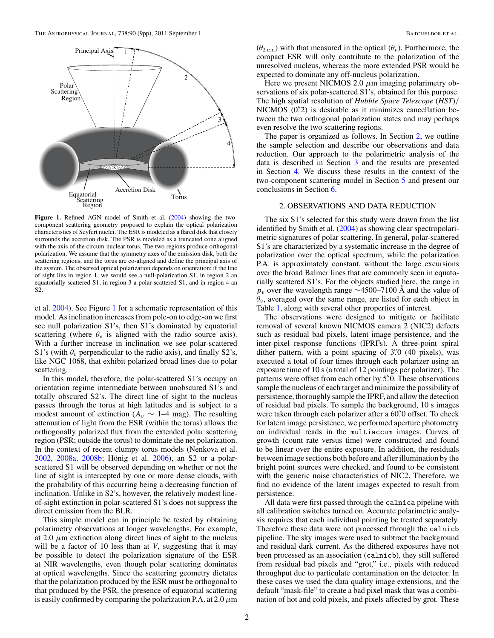<span id="page-2-0"></span>

Figure 1. Refined AGN model of Smith et al. [\(2004\)](#page-9-0) showing the twocomponent scattering geometry proposed to explain the optical polarization characteristics of Seyfert nuclei. The ESR is modeled as a flared disk that closely surrounds the accretion disk. The PSR is modeled as a truncated cone aligned with the axis of the circum-nuclear torus. The two regions produce orthogonal polarization. We assume that the symmetry axes of the emission disk, both the scattering regions, and the torus are co-aligned and define the principal axis of the system. The observed optical polarization depends on orientation: if the line of sight lies in region 1, we would see a null-polarization S1, in region 2 an equatorially scattered S1, in region 3 a polar-scattered S1, and in region 4 an S2.

et al. [2004\)](#page-9-0). See Figure 1 for a schematic representation of this model. As inclination increases from pole-on to edge-on we first see null polarization S1's, then S1's dominated by equatorial scattering (where  $\theta_v$  is aligned with the radio source axis). With a further increase in inclination we see polar-scattered S1's (with  $\theta_v$  perpendicular to the radio axis), and finally S2's, like NGC 1068, that exhibit polarized broad lines due to polar scattering.

In this model, therefore, the polar-scattered S1's occupy an orientation regime intermediate between unobscured S1's and totally obscured S2's. The direct line of sight to the nucleus passes through the torus at high latitudes and is subject to a modest amount of extinction ( $A_v \sim 1-4$  mag). The resulting attenuation of light from the ESR (within the torus) allows the orthogonally polarized flux from the extended polar scattering region (PSR; outside the torus) to dominate the net polarization. In the context of recent clumpy torus models (Nenkova et al. [2002,](#page-9-0) [2008a,](#page-9-0) [2008b;](#page-9-0) Hönig et al. [2006\)](#page-9-0), an S2 or a polarscattered S1 will be observed depending on whether or not the line of sight is intercepted by one or more dense clouds, with the probability of this occurring being a decreasing function of inclination. Unlike in S2's, however, the relatively modest lineof-sight extinction in polar-scattered S1's does not suppress the direct emission from the BLR.

This simple model can in principle be tested by obtaining polarimetry observations at longer wavelengths. For example, at 2.0  $\mu$ m extinction along direct lines of sight to the nucleus will be a factor of 10 less than at *V*, suggesting that it may be possible to detect the polarization signature of the ESR at NIR wavelengths, even though polar scattering dominates at optical wavelengths. Since the scattering geometry dictates that the polarization produced by the ESR must be orthogonal to that produced by the PSR, the presence of equatorial scattering is easily confirmed by comparing the polarization P.A. at 2.0 *μ*m

 $(\theta_{2\mu m})$  with that measured in the optical  $(\theta_v)$ . Furthermore, the compact ESR will only contribute to the polarization of the unresolved nucleus, whereas the more extended PSR would be expected to dominate any off-nucleus polarization.

Here we present NICMOS 2.0 *μ*m imaging polarimetry observations of six polar-scattered S1's, obtained for this purpose. The high spatial resolution of *Hubble Space Telescope* (*HST*)*/* NICMOS  $(0\rlap{.}^{\prime\prime}\mathstrut 2)$  is desirable as it minimizes cancellation between the two orthogonal polarization states and may perhaps even resolve the two scattering regions.

The paper is organized as follows. In Section 2, we outline the sample selection and describe our observations and data reduction. Our approach to the polarimetric analysis of the data is described in Section [3](#page-3-0) and the results are presented in Section [4.](#page-4-0) We discuss these results in the context of the two-component scattering model in Section [5](#page-6-0) and present our conclusions in Section [6.](#page-8-0)

#### 2. OBSERVATIONS AND DATA REDUCTION

The six S1's selected for this study were drawn from the list identified by Smith et al. [\(2004\)](#page-9-0) as showing clear spectropolarimetric signatures of polar scattering. In general, polar-scattered S1's are characterized by a systematic increase in the degree of polarization over the optical spectrum, while the polarization P.A. is approximately constant, without the large excursions over the broad Balmer lines that are commonly seen in equatorially scattered S1's. For the objects studied here, the range in *p<sub>v</sub>* over the wavelength range ~4500–7100 Å and the value of  $\theta_v$ , averaged over the same range, are listed for each object in Table [1,](#page-3-0) along with several other properties of interest.

The observations were designed to mitigate or facilitate removal of several known NICMOS camera 2 (NIC2) defects such as residual bad pixels, latent image persistence, and the inter-pixel response functions (IPRFs). A three-point spiral dither pattern, with a point spacing of 3*.* 0 (40 pixels), was executed a total of four times through each polarizer using an exposure time of 10 s (a total of 12 pointings per polarizer). The patterns were offset from each other by 5*.* 0. These observations sample the nucleus of each target and minimize the possibility of persistence, thoroughly sample the IPRF, and allow the detection of residual bad pixels. To sample the background, 10 s images were taken through each polarizer after a 60*.* 0 offset. To check for latent image persistence, we performed aperture photometry on individual reads in the multiaccum images. Curves of growth (count rate versus time) were constructed and found to be linear over the entire exposure. In addition, the residuals between image sections both before and after illumination by the bright point sources were checked, and found to be consistent with the generic noise characteristics of NIC2. Therefore, we find no evidence of the latent images expected to result from persistence.

All data were first passed through the calnica pipeline with all calibration switches turned on. Accurate polarimetric analysis requires that each individual pointing be treated separately. Therefore these data were not processed through the calnicb pipeline. The sky images were used to subtract the background and residual dark current. As the dithered exposures have not been processed as an association (calnicb), they still suffered from residual bad pixels and "grot," i.e., pixels with reduced throughput due to particulate contamination on the detector. In these cases we used the data quality image extensions, and the default "mask-file" to create a bad pixel mask that was a combination of hot and cold pixels, and pixels affected by grot. These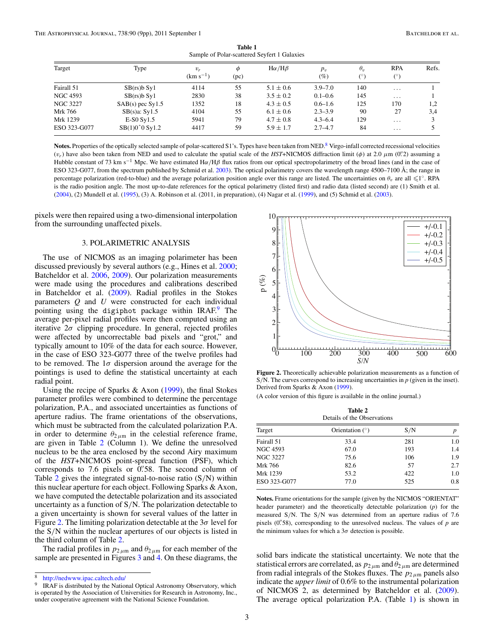<span id="page-3-0"></span>

| Sample of Polar-scattered Seyfert 1 Galaxies |                            |                        |           |                  |              |                          |                          |       |
|----------------------------------------------|----------------------------|------------------------|-----------|------------------|--------------|--------------------------|--------------------------|-------|
| Target                                       | Type                       | $v_r$<br>$(km s^{-1})$ | Φ<br>(pc) | $H\alpha/H\beta$ | $p_v$<br>(%) | $\theta_v$<br>$(^\circ)$ | <b>RPA</b><br>$(^\circ)$ | Refs. |
| Fairall 51                                   | SB(rs)b Sy1                | 4114                   | 55        | $5.1 \pm 0.6$    | $3.9 - 7.0$  | 140                      | $\cdot$                  |       |
| NGC 4593                                     | SB(rs)b Sy1                | 2830                   | 38        | $3.5 \pm 0.2$    | $0.1 - 0.6$  | 145                      | $\cdots$                 |       |
| NGC 3227                                     | $SAB(s)$ pec $Syl.5$       | 1352                   | 18        | $4.3 \pm 0.5$    | $0.6 - 1.6$  | 125                      | 170                      | 1,2   |
| Mrk 766                                      | SB(s)a: Sy1.5              | 4104                   | 55        | $6.1 \pm 0.6$    | $2.3 - 3.9$  | 90                       | 27                       | 3.4   |
| Mrk 1239                                     | $E-S0 Sv1.5$               | 5941                   | 79        | $4.7 \pm 0.8$    | $4.3 - 6.4$  | 129                      | $\cdot$ $\cdot$ $\cdot$  |       |
| ESO 323-G077                                 | $SB(1)0^{\circ}0 \, Sv1.2$ | 4417                   | 59        | $5.9 \pm 1.7$    | $2.7 - 4.7$  | 84                       | $\cdots$                 |       |

**Table 1** Sample of Polar-scattered Seyfert 1 Galaxies

Notes. Properties of the optically selected sample of polar-scattered S1's. Types have been taken from NED.<sup>8</sup> Virgo-infall corrected recessional velocities (*vr*) have also been taken from NED and used to calculate the spatial scale of the *HST*+NICMOS diffraction limit (*φ*) at 2.0 *μ*m (0*.* 2) assuming a Hubble constant of 73 km s−<sup>1</sup> Mpc. We have estimated H*α/*H*β* flux ratios from our optical spectropolarimetry of the broad lines (and in the case of ESO 323-G077, from the spectrum published by Schmid et al. [2003\)](#page-9-0). The optical polarimetry covers the wavelength range 4500–7100 Å; the range in percentage polarization (red-to-blue) and the average polarization position angle over this range are listed. The uncertainties on  $\theta_v$  are all  $\leq 1^\circ$ . RPA is the radio position angle. The most up-to-date references for the optical polarimetry (listed first) and radio data (listed second) are (1) Smith et al. [\(2004\)](#page-9-0), (2) Mundell et al. [\(1995\)](#page-9-0), (3) A. Robinson et al. (2011, in preparation), (4) Nagar et al. [\(1999\)](#page-9-0), and (5) Schmid et al. [\(2003\)](#page-9-0).

pixels were then repaired using a two-dimensional interpolation from the surrounding unaffected pixels.

### 3. POLARIMETRIC ANALYSIS

The use of NICMOS as an imaging polarimeter has been discussed previously by several authors (e.g., Hines et al. [2000;](#page-9-0) Batcheldor et al. [2006,](#page-9-0) [2009\)](#page-9-0). Our polarization measurements were made using the procedures and calibrations described in Batcheldor et al. [\(2009\)](#page-9-0). Radial profiles in the Stokes parameters *Q* and *U* were constructed for each individual pointing using the digiphot package within IRAF.<sup>9</sup> The average per-pixel radial profiles were then computed using an iterative 2*σ* clipping procedure. In general, rejected profiles were affected by uncorrectable bad pixels and "grot," and typically amount to 10% of the data for each source. However, in the case of ESO 323-G077 three of the twelve profiles had to be removed. The 1*σ* dispersion around the average for the pointings is used to define the statistical uncertainty at each radial point.

Using the recipe of Sparks & Axon [\(1999\)](#page-9-0), the final Stokes parameter profiles were combined to determine the percentage polarization, P.A., and associated uncertainties as functions of aperture radius. The frame orientations of the observations, which must be subtracted from the calculated polarization P.A. in order to determine  $\theta_{2\mu m}$  in the celestial reference frame, are given in Table 2 (Column 1). We define the unresolved nucleus to be the area enclosed by the second Airy maximum of the *HST*+NICMOS point-spread function (PSF), which corresponds to 7.6 pixels or 0*.* 58. The second column of Table 2 gives the integrated signal-to-noise ratio (S*/*N) within this nuclear aperture for each object. Following Sparks & Axon, we have computed the detectable polarization and its associated uncertainty as a function of S*/*N. The polarization detectable to a given uncertainty is shown for several values of the latter in Figure 2. The limiting polarization detectable at the 3*σ* level for the S*/*N within the nuclear apertures of our objects is listed in the third column of Table 2.

The radial profiles in  $p_{2\mu m}$  and  $\theta_{2\mu m}$  for each member of the sample are presented in Figures [3](#page-4-0) and [4.](#page-4-0) On these diagrams, the



**Figure 2.** Theoretically achievable polarization measurements as a function of S*/*N. The curves correspond to increasing uncertainties in *p* (given in the inset). Derived from Sparks & Axon [\(1999\)](#page-9-0).

(A color version of this figure is available in the online journal.)

**Table 2** Details of the Observations

| Target          | Orientation $(°)$ | S/N |     |  |  |  |
|-----------------|-------------------|-----|-----|--|--|--|
| Fairall 51      | 33.4              | 281 | 1.0 |  |  |  |
| <b>NGC 4593</b> | 67.0              | 193 | 1.4 |  |  |  |
| <b>NGC 3227</b> | 75.6              | 106 | 1.9 |  |  |  |
| Mrk 766         | 82.6              | 57  | 2.7 |  |  |  |
| Mrk 1239        | 53.2              | 422 | 1.0 |  |  |  |
| ESO 323-G077    | 77.0              | 525 | 0.8 |  |  |  |
|                 |                   |     |     |  |  |  |

**Notes.** Frame orientations for the sample (given by the NICMOS "ORIENTAT" header parameter) and the theoretically detectable polarization (*p*) for the measured S*/*N. The S*/*N was determined from an aperture radius of 7.6 pixels  $(0.758)$ , corresponding to the unresolved nucleus. The values of  $p$  are the minimum values for which a  $3\sigma$  detection is possible.

solid bars indicate the statistical uncertainty. We note that the statistical errors are correlated, as  $p_{2\mu m}$  and  $\theta_{2\mu m}$  are determined from radial integrals of the Stokes fluxes. The *p*2*μ*<sup>m</sup> panels also indicate the *upper limit* of 0.6% to the instrumental polarization of NICMOS 2, as determined by Batcheldor et al. [\(2009\)](#page-9-0). The average optical polarization P.A. (Table 1) is shown in

<sup>8</sup> <http://nedwww.ipac.caltech.edu/>

<sup>&</sup>lt;sup>9</sup> IRAF is distributed by the National Optical Astronomy Observatory, which is operated by the Association of Universities for Research in Astronomy, Inc., under cooperative agreement with the National Science Foundation.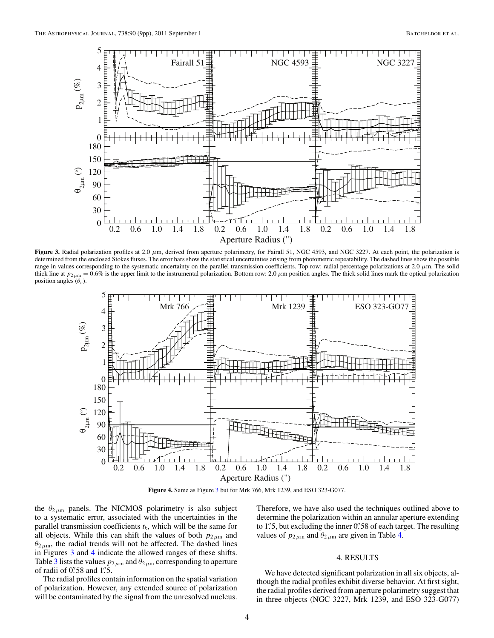<span id="page-4-0"></span>

**Figure 3.** Radial polarization profiles at 2.0 *μ*m, derived from aperture polarimetry, for Fairall 51, NGC 4593, and NGC 3227. At each point, the polarization is determined from the enclosed Stokes fluxes. The error bars show the statistical uncertainties arising from photometric repeatability. The dashed lines show the possible range in values corresponding to the systematic uncertainty on the parallel transmission coefficients. Top row: radial percentage polarizations at 2.0 *μ*m. The solid thick line at  $p_{2\mu m} = 0.6\%$  is the upper limit to the instrumental polarization. Bottom row: 2.0  $\mu$ m position angles. The thick solid lines mark the optical polarization position angles  $(\theta_v)$ .



**Figure 4.** Same as Figure 3 but for Mrk 766, Mrk 1239, and ESO 323-G077.

the  $\theta_{2\mu m}$  panels. The NICMOS polarimetry is also subject to a systematic error, associated with the uncertainties in the parallel transmission coefficients  $t_k$ , which will be the same for all objects. While this can shift the values of both  $p_{2\mu m}$  and  $\theta$ <sub>2</sub> $\mu$ m, the radial trends will not be affected. The dashed lines in Figures 3 and 4 indicate the allowed ranges of these shifts. Table [3](#page-5-0) lists the values  $p_{2\mu m}$  and  $\theta_{2\mu m}$  corresponding to aperture of radii of 0*.* 58 and 1*.* 5.

The radial profiles contain information on the spatial variation of polarization. However, any extended source of polarization will be contaminated by the signal from the unresolved nucleus.

Therefore, we have also used the techniques outlined above to determine the polarization within an annular aperture extending to 1*.* 5, but excluding the inner 0*.* 58 of each target. The resulting values of  $p_{2\mu m}$  and  $\theta_{2\mu m}$  are given in Table [4.](#page-5-0)

### 4. RESULTS

We have detected significant polarization in all six objects, although the radial profiles exhibit diverse behavior. At first sight, the radial profiles derived from aperture polarimetry suggest that in three objects (NGC 3227, Mrk 1239, and ESO 323-G077)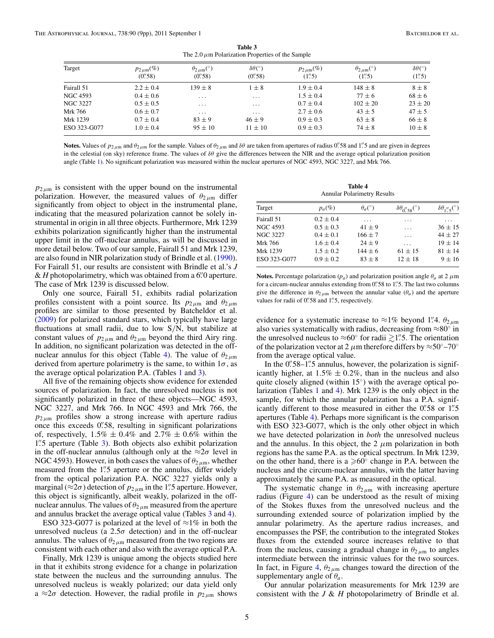<span id="page-5-0"></span>

| The 2.0 $\mu$ m Polarization Properties of the Sample |                                      |                                             |                                           |                                                     |                                                            |                                                         |
|-------------------------------------------------------|--------------------------------------|---------------------------------------------|-------------------------------------------|-----------------------------------------------------|------------------------------------------------------------|---------------------------------------------------------|
| Target                                                | $p_{2\,\mu\mathrm{m}}(\%)$<br>(0.58) | $\theta_{2 \mu m}$ <sup>(°)</sup><br>(0.58) | $\delta\theta$ <sup>(°</sup> )<br>(0.758) | $p_{2\,\mu\mathrm{m}}(\%)$<br>$(1\overset{''}{.}5)$ | $\theta_{2 \mu m}$ <sup>(°)</sup><br>$(1\overset{''}{.}5)$ | $\delta\theta$ <sup>(°</sup> )<br>$(1\overset{''}{.}5)$ |
| Fairall 51                                            | $2.2 \pm 0.4$                        | $139 \pm 8$                                 | $1 \pm 8$                                 | $1.9 \pm 0.4$                                       | $148 \pm 8$                                                | $8 \pm 8$                                               |
| NGC 4593                                              | $0.4 \pm 0.6$                        | $\cdots$                                    | $\cdots$                                  | $1.5 \pm 0.4$                                       | $77 + 6$                                                   | $68 \pm 6$                                              |
| NGC 3227                                              | $0.5 \pm 0.5$                        | $\cdot$ $\cdot$ $\cdot$                     | $\cdots$                                  | $0.7 \pm 0.4$                                       | $102 \pm 20$                                               | $23 \pm 20$                                             |
| Mrk 766                                               | $0.6 \pm 0.7$                        | $\cdots$                                    | $\cdots$                                  | $2.7 \pm 0.6$                                       | $43 \pm 5$                                                 | $47 \pm 5$                                              |
| Mrk 1239                                              | $0.7 \pm 0.4$                        | $83 + 9$                                    | $46 + 9$                                  | $0.9 \pm 0.3$                                       | $63 + 8$                                                   | $66 \pm 8$                                              |
| ESO 323-G077                                          | $1.0 \pm 0.4$                        | $95 \pm 10$                                 | $11 \pm 10$                               | $0.9 \pm 0.3$                                       | $74 + 8$                                                   | $10 \pm 8$                                              |

**Table 3** The 2*.*0*μ*m Polarization Properties of the Sample

**Notes.** Values of  $p_{2\mu m}$  and  $\theta_{2\mu m}$  for the sample. Values of  $\theta_{2\mu m}$  and  $\delta\theta$  are taken from apertures of radius 0. <sup>7</sup>. The mass of 1.<sup>2</sup>. 5 and are given in degrees in the celestial (on sky) reference frame. The values of *δθ* give the differences between the NIR and the average optical polarization position angle (Table [1\)](#page-3-0). No significant polarization was measured within the nuclear apertures of NGC 4593, NGC 3227, and Mrk 766.

 $p_{2\mu m}$  is consistent with the upper bound on the instrumental polarization. However, the measured values of  $\theta_{2\mu m}$  differ significantly from object to object in the instrumental plane, indicating that the measured polarization cannot be solely instrumental in origin in all three objects. Furthermore, Mrk 1239 exhibits polarization significantly higher than the instrumental upper limit in the off-nuclear annulus, as will be discussed in more detail below. Two of our sample, Fairall 51 and Mrk 1239, are also found in NIR polarization study of Brindle et al. [\(1990\)](#page-9-0). For Fairall 51, our results are consistent with Brindle et al.'s *J* & *H* photopolarimetry, which was obtained from a 6*.* 0 aperture. The case of Mrk 1239 is discussed below.

Only one source, Fairall 51, exhibits radial polarization profiles consistent with a point source. Its  $p_{2\mu m}$  and  $\theta_{2\mu m}$ profiles are similar to those presented by Batcheldor et al. [\(2009\)](#page-9-0) for polarized standard stars, which typically have large fluctuations at small radii, due to low S*/*N, but stabilize at constant values of  $p_{2\mu m}$  and  $\theta_{2\mu m}$  beyond the third Airy ring. In addition, no significant polarization was detected in the offnuclear annulus for this object (Table 4). The value of  $\theta_{2\mu m}$ derived from aperture polarimetry is the same, to within  $1\sigma$ , as the average optical polarization P.A. (Tables [1](#page-3-0) and 3).

All five of the remaining objects show evidence for extended sources of polarization. In fact, the unresolved nucleus is not significantly polarized in three of these objects—NGC 4593, NGC 3227, and Mrk 766. In NGC 4593 and Mrk 766, the  $p_{2\mu m}$  profiles show a strong increase with aperture radius once this exceeds 0*.* 58, resulting in significant polarizations of, respectively,  $1.5\% \pm 0.4\%$  and  $2.7\% \pm 0.6\%$  within the 1*.* 5 aperture (Table 3). Both objects also exhibit polarization in the off-nuclear annulus (although only at the  $\approx 2\sigma$  level in NGC 4593). However, in both cases the values of  $\theta_{2\mu m}$ , whether measured from the 1*.* 5 aperture or the annulus, differ widely from the optical polarization P.A. NGC 3227 yields only a marginal ( $\approx$ 2*σ*) detection of  $p_{2\mu m}$  in the 1<sup>*n*</sup>. aperture. However, this object is significantly, albeit weakly, polarized in the offnuclear annulus. The values of  $\theta_{2\mu m}$  measured from the aperture and annulus bracket the average optical value (Tables 3 and 4).

ESO 323-G077 is polarized at the level of  $\approx$ 1% in both the unresolved nucleus (a  $2.5\sigma$  detection) and in the off-nuclear annulus. The values of  $\theta_{2\mu m}$  measured from the two regions are consistent with each other and also with the average optical P.A.

Finally, Mrk 1239 is unique among the objects studied here in that it exhibits strong evidence for a change in polarization state between the nucleus and the surrounding annulus. The unresolved nucleus is weakly polarized; our data yield only a  $\approx$ 2*σ* detection. However, the radial profile in  $p_{2\mu m}$  shows

| <b>Table 4</b>                     |  |
|------------------------------------|--|
| <b>Annular Polarimetry Results</b> |  |

| Target          | $p_a(\%)$     | $\theta_a$ <sup>(°)</sup> | $\delta\theta_{\alpha''\varsigma\varsigma}$ (°) | $\delta\theta_{1}$ // <sub>5</sub> (°) |
|-----------------|---------------|---------------------------|-------------------------------------------------|----------------------------------------|
| Fairall 51      | $0.2 \pm 0.4$ | $\cdot$ $\cdot$ $\cdot$   | .                                               | .                                      |
| <b>NGC 4593</b> | $0.5 \pm 0.3$ | $41 \pm 9$                | .                                               | $36 \pm 15$                            |
| <b>NGC 3227</b> | $0.4 \pm 0.1$ | $166 + 7$                 | $\cdots$                                        | $44 + 27$                              |
| Mrk 766         | $1.6 \pm 0.4$ | $24 + 9$                  | .                                               | $19 + 14$                              |
| Mrk 1239        | $1.5 \pm 0.2$ | $144 \pm 6$               | $61 + 15$                                       | $81 \pm 14$                            |
| ESO 323-G077    | $0.9 \pm 0.2$ | $83 + 8$                  | $12 + 18$                                       | $9 + 16$                               |

**Notes.** Percentage polarization ( $p_a$ ) and polarization position angle  $\theta_a$  at 2  $\mu$ m for a circum-nuclear annulus extending from 0*.* 58 to 1*.* 5. The last two columns give the difference in  $\theta_{2\mu m}$  between the annular value ( $\theta_a$ ) and the aperture values for radii of 0.<sup>*'*</sup> 58 and 1<sup>*''*</sup> 5, respectively.

evidence for a systematic increase to  $\approx$ 1% beyond 1.4.  $\theta_{2,\mu}$ m also varies systematically with radius, decreasing from  $\approx 80^\circ$  in the unresolved nucleus to  $\approx 60^\circ$  for radii  $\gtrsim 1.75$ . The orientation of the polarization vector at 2  $\mu$ m therefore differs by  $\approx$ 50<sup>°</sup>–70<sup>°</sup> from the average optical value.

In the 0''.58–1''.5 annulus, however, the polarization is significantly higher, at  $1.5\% \pm 0.2\%$ , than in the nucleus and also quite closely aligned (within  $15°$ ) with the average optical polarization (Tables [1](#page-3-0) and 4). Mrk 1239 is the only object in the sample, for which the annular polarization has a P.A. significantly different to those measured in either the 0*.* 58 or 1*.* 5 apertures (Table 4). Perhaps more significant is the comparison with ESO 323-G077, which is the only other object in which we have detected polarization in *both* the unresolved nucleus and the annulus. In this object, the  $2 \mu m$  polarization in both regions has the same P.A. as the optical spectrum. In Mrk 1239, on the other hand, there is a  $\geq 60^\circ$  change in P.A. between the nucleus and the circum-nuclear annulus, with the latter having approximately the same P.A. as measured in the optical.

The systematic change in  $\theta_{2\mu m}$  with increasing aperture radius (Figure [4\)](#page-4-0) can be understood as the result of mixing of the Stokes fluxes from the unresolved nucleus and the surrounding extended source of polarization implied by the annular polarimetry. As the aperture radius increases, and encompasses the PSF, the contribution to the integrated Stokes fluxes from the extended source increases relative to that from the nucleus, causing a gradual change in  $\theta_{2\mu m}$  to angles intermediate between the intrinsic values for the two sources. In fact, in Figure [4,](#page-4-0)  $\theta_{2\mu m}$  changes toward the direction of the supplementary angle of  $\theta_a$ .

Our annular polarization measurements for Mrk 1239 are consistent with the *J* & *H* photopolarimetry of Brindle et al.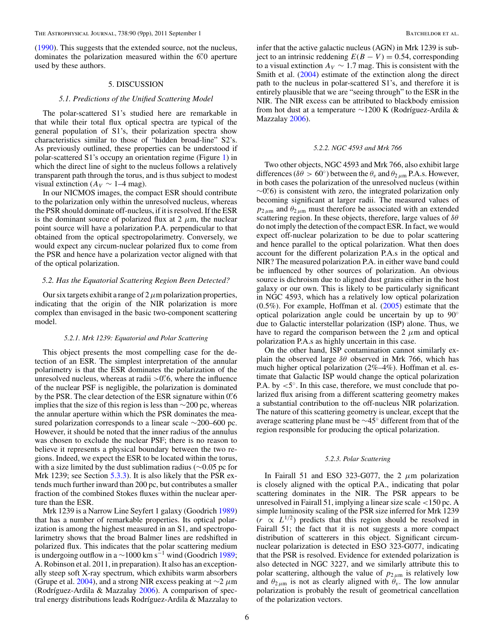<span id="page-6-0"></span>[\(1990\)](#page-9-0). This suggests that the extended source, not the nucleus, dominates the polarization measured within the 6*.* 0 aperture used by these authors.

#### 5. DISCUSSION

#### *5.1. Predictions of the Unified Scattering Model*

The polar-scattered S1's studied here are remarkable in that while their total flux optical spectra are typical of the general population of S1's, their polarization spectra show characteristics similar to those of "hidden broad-line" S2's. As previously outlined, these properties can be understood if polar-scattered S1's occupy an orientation regime (Figure [1\)](#page-2-0) in which the direct line of sight to the nucleus follows a relatively transparent path through the torus, and is thus subject to modest visual extinction ( $A_V \sim 1-4$  mag).

In our NICMOS images, the compact ESR should contribute to the polarization only within the unresolved nucleus, whereas the PSR should dominate off-nucleus, if it is resolved. If the ESR is the dominant source of polarized flux at  $2 \mu m$ , the nuclear point source will have a polarization P.A. perpendicular to that obtained from the optical spectropolarimetry. Conversely, we would expect any circum-nuclear polarized flux to come from the PSR and hence have a polarization vector aligned with that of the optical polarization.

### *5.2. Has the Equatorial Scattering Region Been Detected?*

Our six targets exhibit a range of 2*μ*m polarization properties, indicating that the origin of the NIR polarization is more complex than envisaged in the basic two-component scattering model.

#### *5.2.1. Mrk 1239: Equatorial and Polar Scattering*

This object presents the most compelling case for the detection of an ESR. The simplest interpretation of the annular polarimetry is that the ESR dominates the polarization of the unresolved nucleus, whereas at radii *>*0*.* 6, where the influence of the nuclear PSF is negligible, the polarization is dominated by the PSR. The clear detection of the ESR signature within 0*.* 6 implies that the size of this region is less than ∼200 pc, whereas the annular aperture within which the PSR dominates the measured polarization corresponds to a linear scale ∼200–600 pc. However, it should be noted that the inner radius of the annulus was chosen to exclude the nuclear PSF; there is no reason to believe it represents a physical boundary between the two regions. Indeed, we expect the ESR to be located within the torus, with a size limited by the dust sublimation radius (∼0*.*05 pc for Mrk 1239; see Section [5.3.3\)](#page-7-0). It is also likely that the PSR extends much further inward than 200 pc, but contributes a smaller fraction of the combined Stokes fluxes within the nuclear aperture than the ESR.

Mrk 1239 is a Narrow Line Seyfert 1 galaxy (Goodrich [1989\)](#page-9-0) that has a number of remarkable properties. Its optical polarization is among the highest measured in an S1, and spectropolarimetry shows that the broad Balmer lines are redshifted in polarized flux. This indicates that the polar scattering medium is undergoing outflow in a  $\sim$ 1000 km s<sup>-1</sup> wind (Goodrich [1989;](#page-9-0) A. Robinson et al. 2011, in preparation). It also has an exceptionally steep soft X-ray spectrum, which exhibits warm absorbers (Grupe et al. [2004\)](#page-9-0), and a strong NIR excess peaking at ∼2 *μ*m (Rodríguez-Ardila & Mazzalay  $2006$ ). A comparison of spectral energy distributions leads Rodríguez-Ardila & Mazzalay to

infer that the active galactic nucleus (AGN) in Mrk 1239 is subject to an intrinsic reddening  $E(B − V) = 0.54$ , corresponding to a visual extinction  $A_V \sim 1.7$  mag. This is consistent with the Smith et al. [\(2004\)](#page-9-0) estimate of the extinction along the direct path to the nucleus in polar-scattered S1's, and therefore it is entirely plausible that we are "seeing through" to the ESR in the NIR. The NIR excess can be attributed to blackbody emission from hot dust at a temperature  $\sim$ 1200 K (Rodríguez-Ardila & Mazzalay [2006\)](#page-9-0).

#### *5.2.2. NGC 4593 and Mrk 766*

Two other objects, NGC 4593 and Mrk 766, also exhibit large differences ( $\delta\theta > 60^\circ$ ) between the  $\theta_v$  and  $\theta_{2\mu m}$  P.A.s. However, in both cases the polarization of the unresolved nucleus (within ∼0*.* 6) is consistent with zero, the integrated polarization only becoming significant at larger radii. The measured values of  $p_{2\mu m}$  and  $\theta_{2\mu m}$  must therefore be associated with an extended scattering region. In these objects, therefore, large values of *δθ* do not imply the detection of the compact ESR. In fact, we would expect off-nuclear polarization to be due to polar scattering and hence parallel to the optical polarization. What then does account for the different polarization P.A.s in the optical and NIR? The measured polarization P.A. in either wave band could be influenced by other sources of polarization. An obvious source is dichroism due to aligned dust grains either in the host galaxy or our own. This is likely to be particularly significant in NGC 4593, which has a relatively low optical polarization (0.5%). For example, Hoffman et al. [\(2005\)](#page-9-0) estimate that the optical polarization angle could be uncertain by up to 90◦ due to Galactic interstellar polarization (ISP) alone. Thus, we have to regard the comparison between the  $2 \mu m$  and optical polarization P.A.s as highly uncertain in this case.

On the other hand, ISP contamination cannot similarly explain the observed large *δθ* observed in Mrk 766, which has much higher optical polarization (2%–4%). Hoffman et al. estimate that Galactic ISP would change the optical polarization P.A. by *<*5◦. In this case, therefore, we must conclude that polarized flux arising from a different scattering geometry makes a substantial contribution to the off-nucleus NIR polarization. The nature of this scattering geometry is unclear, except that the average scattering plane must be ∼45◦ different from that of the region responsible for producing the optical polarization.

#### *5.2.3. Polar Scattering*

In Fairall 51 and ESO 323-G077, the 2 *μ*m polarization is closely aligned with the optical P.A., indicating that polar scattering dominates in the NIR. The PSR appears to be unresolved in Fairall 51, implying a linear size scale *<*150 pc. A simple luminosity scaling of the PSR size inferred for Mrk 1239  $(r \propto L^{1/2})$  predicts that this region should be resolved in Fairall 51; the fact that it is not suggests a more compact distribution of scatterers in this object. Significant circumnuclear polarization is detected in ESO 323-G077, indicating that the PSR is resolved. Evidence for extended polarization is also detected in NGC 3227, and we similarly attribute this to polar scattering, although the value of  $p_{2\mu m}$  is relatively low and  $\theta_{2\mu m}$  is not as clearly aligned with  $\theta_{\nu}$ . The low annular polarization is probably the result of geometrical cancellation of the polarization vectors.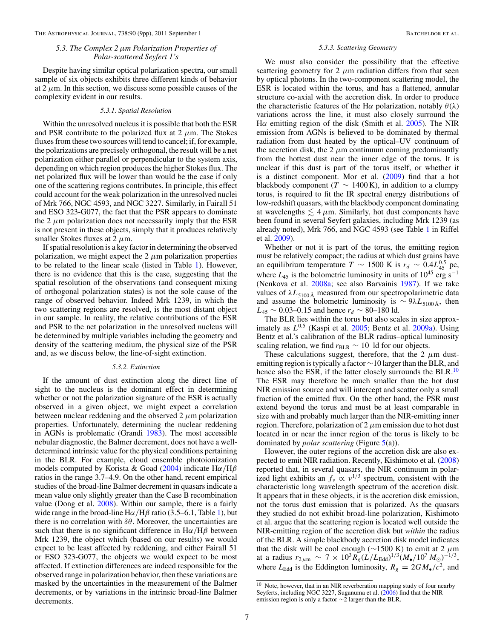#### <span id="page-7-0"></span>*5.3. The Complex 2μm Polarization Properties of Polar-scattered Seyfert 1's*

Despite having similar optical polarization spectra, our small sample of six objects exhibits three different kinds of behavior at  $2 \mu$ m. In this section, we discuss some possible causes of the complexity evident in our results.

#### *5.3.1. Spatial Resolution*

Within the unresolved nucleus it is possible that both the ESR and PSR contribute to the polarized flux at  $2 \mu$ m. The Stokes fluxes from these two sources will tend to cancel; if, for example, the polarizations are precisely orthogonal, the result will be a net polarization either parallel or perpendicular to the system axis, depending on which region produces the higher Stokes flux. The net polarized flux will be lower than would be the case if only one of the scattering regions contributes. In principle, this effect could account for the weak polarization in the unresolved nuclei of Mrk 766, NGC 4593, and NGC 3227. Similarly, in Fairall 51 and ESO 323-G077, the fact that the PSR appears to dominate the 2  $\mu$ m polarization does not necessarily imply that the ESR is not present in these objects, simply that it produces relatively smaller Stokes fluxes at 2 *μ*m.

If spatial resolution is a key factor in determining the observed polarization, we might expect the  $2 \mu m$  polarization properties to be related to the linear scale (listed in Table [1\)](#page-3-0). However, there is no evidence that this is the case, suggesting that the spatial resolution of the observations (and consequent mixing of orthogonal polarization states) is not the sole cause of the range of observed behavior. Indeed Mrk 1239, in which the two scattering regions are resolved, is the most distant object in our sample. In reality, the relative contributions of the ESR and PSR to the net polarization in the unresolved nucleus will be determined by multiple variables including the geometry and density of the scattering medium, the physical size of the PSR and, as we discuss below, the line-of-sight extinction.

#### *5.3.2. Extinction*

If the amount of dust extinction along the direct line of sight to the nucleus is the dominant effect in determining whether or not the polarization signature of the ESR is actually observed in a given object, we might expect a correlation between nuclear reddening and the observed 2 *μ*m polarization properties. Unfortunately, determining the nuclear reddening in AGNs is problematic (Grandi [1983\)](#page-9-0). The most accessible nebular diagnostic, the Balmer decrement, does not have a welldetermined intrinsic value for the physical conditions pertaining in the BLR. For example, cloud ensemble photoionization models computed by Korista & Goad [\(2004\)](#page-9-0) indicate H*α/*H*β* ratios in the range 3.7–4.9. On the other hand, recent empirical studies of the broad-line Balmer decrement in quasars indicate a mean value only slightly greater than the Case B recombination value (Dong et al. [2008\)](#page-9-0). Within our sample, there is a fairly wide range in the broad-line H*α/*H*β* ratio (3.5–6.1, Table [1\)](#page-3-0), but there is no correlation with *δθ*. Moreover, the uncertainties are such that there is no significant difference in H*α/*H*β* between Mrk 1239, the object which (based on our results) we would expect to be least affected by reddening, and either Fairall 51 or ESO 323-G077, the objects we would expect to be most affected. If extinction differences are indeed responsible for the observed range in polarization behavior, then these variations are masked by the uncertainties in the measurement of the Balmer decrements, or by variations in the intrinsic broad-line Balmer decrements.

#### *5.3.3. Scattering Geometry*

We must also consider the possibility that the effective scattering geometry for  $2 \mu m$  radiation differs from that seen by optical photons. In the two-component scattering model, the ESR is located within the torus, and has a flattened, annular structure co-axial with the accretion disk. In order to produce the characteristic features of the H $\alpha$  polarization, notably  $\theta(\lambda)$ variations across the line, it must also closely surround the H*α* emitting region of the disk (Smith et al. [2005\)](#page-9-0). The NIR emission from AGNs is believed to be dominated by thermal radiation from dust heated by the optical–UV continuum of the accretion disk, the 2  $\mu$ m continuum coming predominantly from the hottest dust near the inner edge of the torus. It is unclear if this dust is part of the torus itself, or whether it is a distinct component. Mor et al. [\(2009\)](#page-9-0) find that a hot blackbody component ( $T \sim 1400 \text{ K}$ ), in addition to a clumpy torus, is required to fit the IR spectral energy distributions of low-redshift quasars, with the blackbody component dominating at wavelengths  $\leq 4 \mu m$ . Similarly, hot dust components have been found in several Seyfert galaxies, including Mrk 1239 (as already noted), Mrk 766, and NGC 4593 (see Table [1](#page-3-0) in Riffel et al. [2009\)](#page-9-0).

Whether or not it is part of the torus, the emitting region must be relatively compact; the radius at which dust grains have an equilibrium temperature  $T \sim 1500 \text{ K}$  is  $r_d \sim 0.4 L_{45}^{0.5} \text{ pc}$ , where  $L_{45}$  is the bolometric luminosity in units of 10<sup>45</sup> erg s<sup>-1</sup> (Nenkova et al. [2008a;](#page-9-0) see also Barvainis [1987\)](#page-9-0). If we take values of  $\lambda L_{5100 \text{ Å}}$  measured from our spectropolarimetric data and assume the bolometric luminosity is  $\sim 9\lambda L_{5100 \text{ Å}}$ , then  $L_{45} \sim 0.03$ –0.15 and hence  $r_d \sim 80$ –180 ld.

The BLR lies within the torus but also scales in size approximately as  $L^{0.5}$  (Kaspi et al. [2005;](#page-9-0) Bentz et al. [2009a\)](#page-9-0). Using Bentz et al.'s calibration of the BLR radius–optical luminosity scaling relation, we find  $r_{BLR} \sim 10$  ld for our objects.

These calculations suggest, therefore, that the 2 *μ*m dustemitting region is typically a factor ∼10 larger than the BLR, and hence also the ESR, if the latter closely surrounds the BLR.<sup>10</sup> The ESR may therefore be much smaller than the hot dust NIR emission source and will intercept and scatter only a small fraction of the emitted flux. On the other hand, the PSR must extend beyond the torus and must be at least comparable in size with and probably much larger than the NIR-emitting inner region. Therefore, polarization of  $2 \mu$ m emission due to hot dust located in or near the inner region of the torus is likely to be dominated by *polar scattering* (Figure [5\(](#page-8-0)a)).

However, the outer regions of the accretion disk are also expected to emit NIR radiation. Recently, Kishimoto et al. [\(2008\)](#page-9-0) reported that, in several quasars, the NIR continuum in polarized light exhibits an  $f_\nu \propto \nu^{1/3}$  spectrum, consistent with the characteristic long wavelength spectrum of the accretion disk. It appears that in these objects, it is the accretion disk emission, not the torus dust emission that is polarized. As the quasars they studied do not exhibit broad-line polarization, Kishimoto et al. argue that the scattering region is located well outside the NIR-emitting region of the accretion disk but *within* the radius of the BLR. A simple blackbody accretion disk model indicates that the disk will be cool enough (∼1500 K) to emit at 2 *μ*m at a radius  $r_{2\mu\text{m}} \sim 7 \times 10^3 R_g (L/L_{\text{Edd}})^{1/3} (M_{\bullet}/10^7 M_{\odot})^{-1/3}$ , where  $L_{\text{Edd}}$  is the Eddington luminosity,  $R_g = 2GM_{\bullet}/c^2$ , and

<sup>&</sup>lt;sup>10</sup> Note, however, that in an NIR reverberation mapping study of four nearby Seyferts, including NGC 3227, Suganuma et al. [\(2006\)](#page-9-0) find that the NIR emission region is only a factor  $\sim$ 2 larger than the BLR.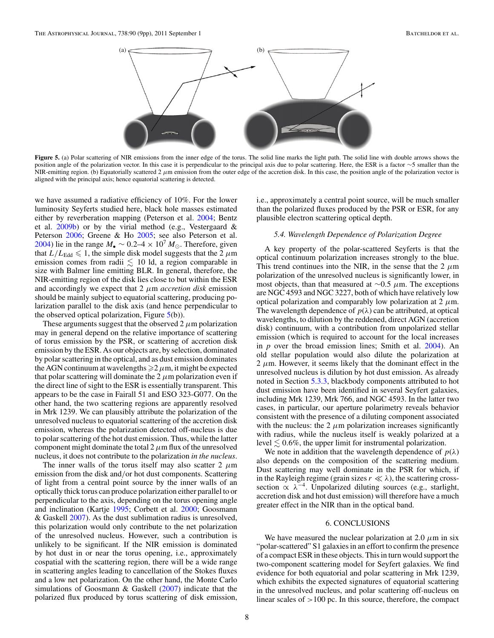<span id="page-8-0"></span>

Figure 5. (a) Polar scattering of NIR emissions from the inner edge of the torus. The solid line marks the light path. The solid line with double arrows shows the position angle of the polarization vector. In this case it is perpendicular to the principal axis due to polar scattering. Here, the ESR is a factor ∼5 smaller than the NIR-emitting region. (b) Equatorially scattered 2 μm emission from the outer edge of the accretion disk. In this case, the position angle of the polarization vector is aligned with the principal axis; hence equatorial scattering is detected.

we have assumed a radiative efficiency of 10%. For the lower luminosity Seyferts studied here, black hole masses estimated either by reverberation mapping (Peterson et al. [2004;](#page-9-0) Bentz et al. [2009b\)](#page-9-0) or by the virial method (e.g., Vestergaard & Peterson [2006;](#page-9-0) Greene & Ho [2005;](#page-9-0) see also Peterson et al. [2004\)](#page-9-0) lie in the range  $M_{\bullet} \sim 0.2{-}4 \times 10^7 M_{\odot}$ . Therefore, given that  $L/L_{\text{Edd}} \leq 1$ , the simple disk model suggests that the 2  $\mu$ m emission comes from radii  $\leq 10$  ld, a region comparable in size with Balmer line emitting BLR. In general, therefore, the NIR-emitting region of the disk lies close to but within the ESR and accordingly we expect that 2 *μ*m *accretion disk* emission should be mainly subject to equatorial scattering, producing polarization parallel to the disk axis (and hence perpendicular to the observed optical polarization, Figure  $5(b)$ ).

These arguments suggest that the observed  $2 \mu$ m polarization may in general depend on the relative importance of scattering of torus emission by the PSR, or scattering of accretion disk emission by the ESR. As our objects are, by selection, dominated by polar scattering in the optical, and as dust emission dominates the AGN continuum at wavelengths  $\geq 2 \mu$ m, it might be expected that polar scattering will dominate the  $2 \mu$ m polarization even if the direct line of sight to the ESR is essentially transparent. This appears to be the case in Fairall 51 and ESO 323-G077. On the other hand, the two scattering regions are apparently resolved in Mrk 1239. We can plausibly attribute the polarization of the unresolved nucleus to equatorial scattering of the accretion disk emission, whereas the polarization detected off-nucleus is due to polar scattering of the hot dust emission. Thus, while the latter component might dominate the total  $2 \mu$ m flux of the unresolved nucleus, it does not contribute to the polarization *in the nucleus*.

The inner walls of the torus itself may also scatter 2  $\mu$ m emission from the disk and*/*or hot dust components. Scattering of light from a central point source by the inner walls of an optically thick torus can produce polarization either parallel to or perpendicular to the axis, depending on the torus opening angle and inclination (Kartje [1995;](#page-9-0) Corbett et al. [2000;](#page-9-0) Goosmann & Gaskell  $2007$ ). As the dust sublimation radius is unresolved, this polarization would only contribute to the net polarization of the unresolved nucleus. However, such a contribution is unlikely to be significant. If the NIR emission is dominated by hot dust in or near the torus opening, i.e., approximately cospatial with the scattering region, there will be a wide range in scattering angles leading to cancellation of the Stokes fluxes and a low net polarization. On the other hand, the Monte Carlo simulations of Goosmann & Gaskell [\(2007\)](#page-9-0) indicate that the polarized flux produced by torus scattering of disk emission,

i.e., approximately a central point source, will be much smaller than the polarized fluxes produced by the PSR or ESR, for any plausible electron scattering optical depth.

#### *5.4. Wavelength Dependence of Polarization Degree*

A key property of the polar-scattered Seyferts is that the optical continuum polarization increases strongly to the blue. This trend continues into the NIR, in the sense that the 2  $\mu$ m polarization of the unresolved nucleus is significantly lower, in most objects, than that measured at ∼0*.*5 *μ*m. The exceptions are NGC 4593 and NGC 3227, both of which have relatively low optical polarization and comparably low polarization at 2 *μ*m. The wavelength dependence of  $p(\lambda)$  can be attributed, at optical wavelengths, to dilution by the reddened, direct AGN (accretion disk) continuum, with a contribution from unpolarized stellar emission (which is required to account for the local increases in *p* over the broad emission lines; Smith et al. [2004\)](#page-9-0). An old stellar population would also dilute the polarization at  $2 \mu$ m. However, it seems likely that the dominant effect in the unresolved nucleus is dilution by hot dust emission. As already noted in Section [5.3.3,](#page-7-0) blackbody components attributed to hot dust emission have been identified in several Seyfert galaxies, including Mrk 1239, Mrk 766, and NGC 4593. In the latter two cases, in particular, our aperture polarimetry reveals behavior consistent with the presence of a diluting component associated with the nucleus: the  $2 \mu m$  polarization increases significantly with radius, while the nucleus itself is weakly polarized at a level  $\leq 0.6\%$ , the upper limit for instrumental polarization.

We note in addition that the wavelength dependence of  $p(\lambda)$ also depends on the composition of the scattering medium. Dust scattering may well dominate in the PSR for which, if in the Rayleigh regime (grain sizes  $r \ll \lambda$ ), the scattering crosssection  $\alpha \lambda^{-4}$ . Unpolarized diluting sources (e.g., starlight, accretion disk and hot dust emission) will therefore have a much greater effect in the NIR than in the optical band.

#### 6. CONCLUSIONS

We have measured the nuclear polarization at 2.0  $\mu$ m in six "polar-scattered" S1 galaxies in an effort to confirm the presence of a compact ESR in these objects. This in turn would support the two-component scattering model for Seyfert galaxies. We find evidence for both equatorial and polar scattering in Mrk 1239, which exhibits the expected signatures of equatorial scattering in the unresolved nucleus, and polar scattering off-nucleus on linear scales of *>*100 pc. In this source, therefore, the compact